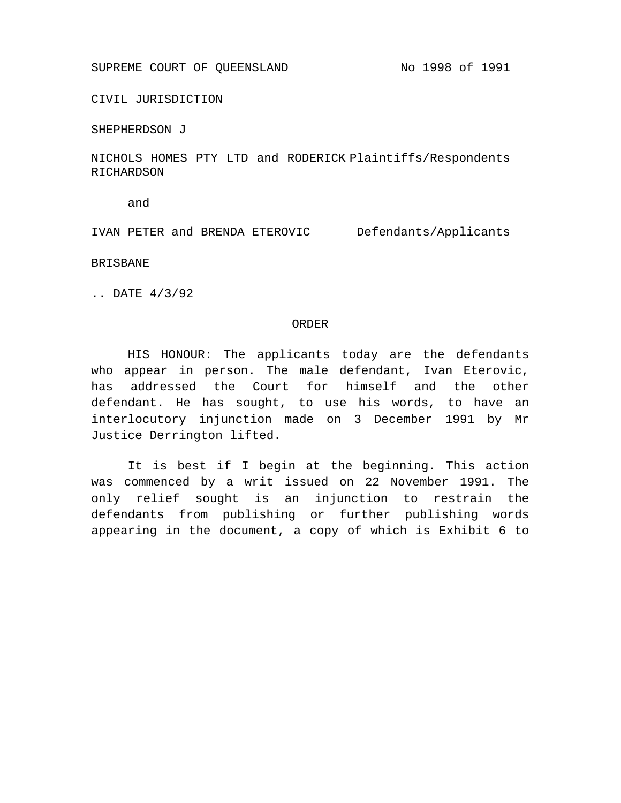CIVIL JURISDICTION

SHEPHERDSON J

NICHOLS HOMES PTY LTD and RODERICK Plaintiffs/Respondents RICHARDSON

and

IVAN PETER and BRENDA ETEROVIC Defendants/Applicants

BRISBANE

.. DATE 4/3/92

## ORDER

HIS HONOUR: The applicants today are the defendants who appear in person. The male defendant, Ivan Eterovic, has addressed the Court for himself and the other defendant. He has sought, to use his words, to have an interlocutory injunction made on 3 December 1991 by Mr Justice Derrington lifted.

It is best if I begin at the beginning. This action was commenced by a writ issued on 22 November 1991. The only relief sought is an injunction to restrain the defendants from publishing or further publishing words appearing in the document, a copy of which is Exhibit 6 to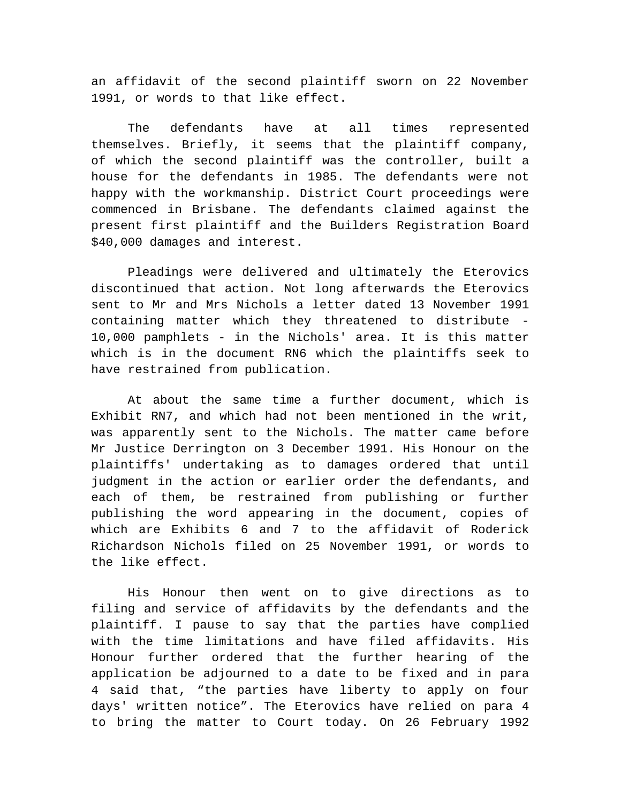an affidavit of the second plaintiff sworn on 22 November 1991, or words to that like effect.

The defendants have at all times represented themselves. Briefly, it seems that the plaintiff company, of which the second plaintiff was the controller, built a house for the defendants in 1985. The defendants were not happy with the workmanship. District Court proceedings were commenced in Brisbane. The defendants claimed against the present first plaintiff and the Builders Registration Board \$40,000 damages and interest.

Pleadings were delivered and ultimately the Eterovics discontinued that action. Not long afterwards the Eterovics sent to Mr and Mrs Nichols a letter dated 13 November 1991 containing matter which they threatened to distribute - 10,000 pamphlets - in the Nichols' area. It is this matter which is in the document RN6 which the plaintiffs seek to have restrained from publication.

At about the same time a further document, which is Exhibit RN7, and which had not been mentioned in the writ, was apparently sent to the Nichols. The matter came before Mr Justice Derrington on 3 December 1991. His Honour on the plaintiffs' undertaking as to damages ordered that until judgment in the action or earlier order the defendants, and each of them, be restrained from publishing or further publishing the word appearing in the document, copies of which are Exhibits 6 and 7 to the affidavit of Roderick Richardson Nichols filed on 25 November 1991, or words to the like effect.

His Honour then went on to give directions as to filing and service of affidavits by the defendants and the plaintiff. I pause to say that the parties have complied with the time limitations and have filed affidavits. His Honour further ordered that the further hearing of the application be adjourned to a date to be fixed and in para 4 said that, "the parties have liberty to apply on four days' written notice". The Eterovics have relied on para 4 to bring the matter to Court today. On 26 February 1992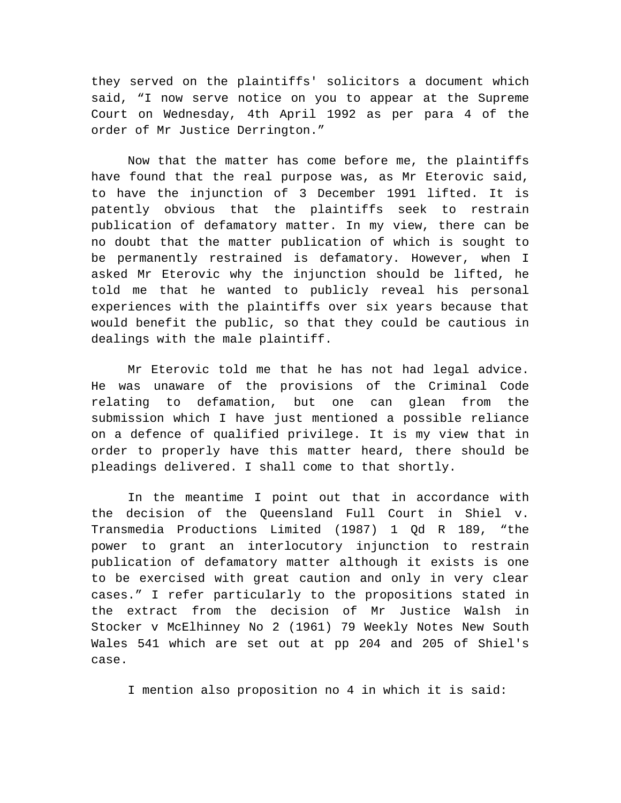they served on the plaintiffs' solicitors a document which said, "I now serve notice on you to appear at the Supreme Court on Wednesday, 4th April 1992 as per para 4 of the order of Mr Justice Derrington."

Now that the matter has come before me, the plaintiffs have found that the real purpose was, as Mr Eterovic said, to have the injunction of 3 December 1991 lifted. It is patently obvious that the plaintiffs seek to restrain publication of defamatory matter. In my view, there can be no doubt that the matter publication of which is sought to be permanently restrained is defamatory. However, when I asked Mr Eterovic why the injunction should be lifted, he told me that he wanted to publicly reveal his personal experiences with the plaintiffs over six years because that would benefit the public, so that they could be cautious in dealings with the male plaintiff.

Mr Eterovic told me that he has not had legal advice. He was unaware of the provisions of the Criminal Code relating to defamation, but one can glean from the submission which I have just mentioned a possible reliance on a defence of qualified privilege. It is my view that in order to properly have this matter heard, there should be pleadings delivered. I shall come to that shortly.

In the meantime I point out that in accordance with the decision of the Queensland Full Court in Shiel v. Transmedia Productions Limited (1987) 1 Qd R 189, "the power to grant an interlocutory injunction to restrain publication of defamatory matter although it exists is one to be exercised with great caution and only in very clear cases." I refer particularly to the propositions stated in the extract from the decision of Mr Justice Walsh in Stocker v McElhinney No 2 (1961) 79 Weekly Notes New South Wales 541 which are set out at pp 204 and 205 of Shiel's case.

I mention also proposition no 4 in which it is said: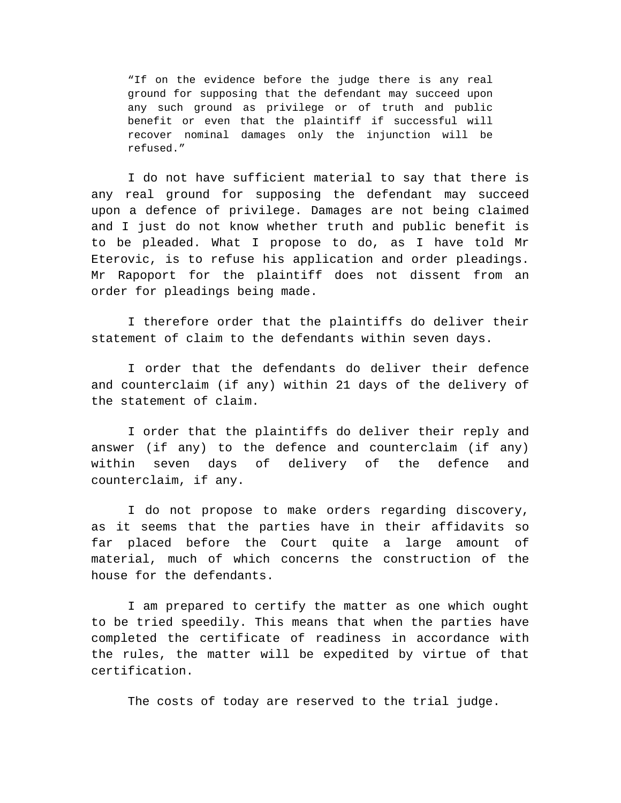"If on the evidence before the judge there is any real ground for supposing that the defendant may succeed upon any such ground as privilege or of truth and public benefit or even that the plaintiff if successful will recover nominal damages only the injunction will be refused."

I do not have sufficient material to say that there is any real ground for supposing the defendant may succeed upon a defence of privilege. Damages are not being claimed and I just do not know whether truth and public benefit is to be pleaded. What I propose to do, as I have told Mr Eterovic, is to refuse his application and order pleadings. Mr Rapoport for the plaintiff does not dissent from an order for pleadings being made.

I therefore order that the plaintiffs do deliver their statement of claim to the defendants within seven days.

I order that the defendants do deliver their defence and counterclaim (if any) within 21 days of the delivery of the statement of claim.

I order that the plaintiffs do deliver their reply and answer (if any) to the defence and counterclaim (if any) within seven days of delivery of the defence and counterclaim, if any.

I do not propose to make orders regarding discovery, as it seems that the parties have in their affidavits so far placed before the Court quite a large amount of material, much of which concerns the construction of the house for the defendants.

I am prepared to certify the matter as one which ought to be tried speedily. This means that when the parties have completed the certificate of readiness in accordance with the rules, the matter will be expedited by virtue of that certification.

The costs of today are reserved to the trial judge.